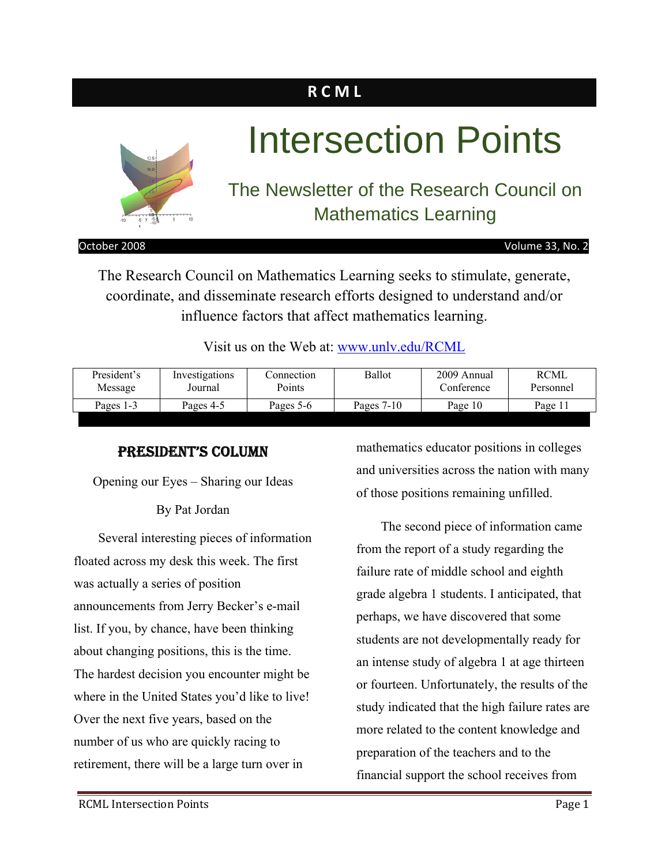## **R C M L**



# Intersection Points

## The Newsletter of the Research Council on Mathematics Learning

October 2008 Volume 33, No. 2

The Research Council on Mathematics Learning seeks to stimulate, generate, coordinate, and disseminate research efforts designed to understand and/or influence factors that affect mathematics learning.

Visit us on the Web at: www.unlv.edu/RCML

| President's | Investigations | Connection | Ballot       | 2009 Annual | RCML      |
|-------------|----------------|------------|--------------|-------------|-----------|
| Message     | Journal        | Points     |              | Conference  | Personnel |
| Pages 1-3   | Pages 4-5      | Pages 5-6  | Pages $7-10$ | Page 10     | Page 11   |

#### PRESIDENT'S COLUMN

Opening our Eyes – Sharing our Ideas

By Pat Jordan

Several interesting pieces of information floated across my desk this week. The first was actually a series of position announcements from Jerry Becker's e-mail list. If you, by chance, have been thinking about changing positions, this is the time. The hardest decision you encounter might be where in the United States you'd like to live! Over the next five years, based on the number of us who are quickly racing to retirement, there will be a large turn over in

mathematics educator positions in colleges and universities across the nation with many of those positions remaining unfilled.

The second piece of information came from the report of a study regarding the failure rate of middle school and eighth grade algebra 1 students. I anticipated, that perhaps, we have discovered that some students are not developmentally ready for an intense study of algebra 1 at age thirteen or fourteen. Unfortunately, the results of the study indicated that the high failure rates are more related to the content knowledge and preparation of the teachers and to the financial support the school receives from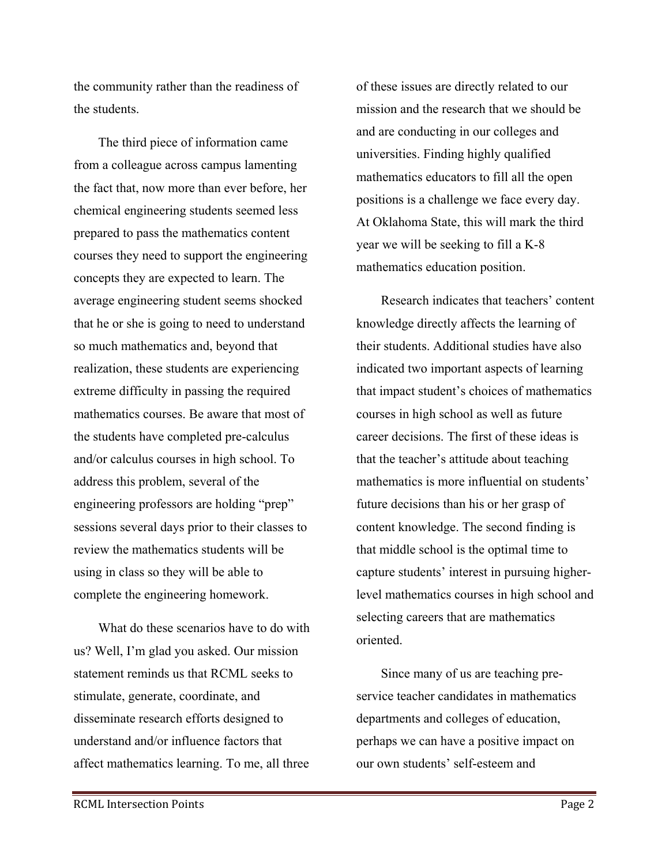the community rather than the readiness of the students.

The third piece of information came from a colleague across campus lamenting the fact that, now more than ever before, her chemical engineering students seemed less prepared to pass the mathematics content courses they need to support the engineering concepts they are expected to learn. The average engineering student seems shocked that he or she is going to need to understand so much mathematics and, beyond that realization, these students are experiencing extreme difficulty in passing the required mathematics courses. Be aware that most of the students have completed pre-calculus and/or calculus courses in high school. To address this problem, several of the engineering professors are holding "prep" sessions several days prior to their classes to review the mathematics students will be using in class so they will be able to complete the engineering homework.

What do these scenarios have to do with us? Well, I'm glad you asked. Our mission statement reminds us that RCML seeks to stimulate, generate, coordinate, and disseminate research efforts designed to understand and/or influence factors that affect mathematics learning. To me, all three of these issues are directly related to our mission and the research that we should be and are conducting in our colleges and universities. Finding highly qualified mathematics educators to fill all the open positions is a challenge we face every day. At Oklahoma State, this will mark the third year we will be seeking to fill a K-8 mathematics education position.

Research indicates that teachers' content knowledge directly affects the learning of their students. Additional studies have also indicated two important aspects of learning that impact student's choices of mathematics courses in high school as well as future career decisions. The first of these ideas is that the teacher's attitude about teaching mathematics is more influential on students' future decisions than his or her grasp of content knowledge. The second finding is that middle school is the optimal time to capture students' interest in pursuing higherlevel mathematics courses in high school and selecting careers that are mathematics oriented.

Since many of us are teaching preservice teacher candidates in mathematics departments and colleges of education, perhaps we can have a positive impact on our own students' self-esteem and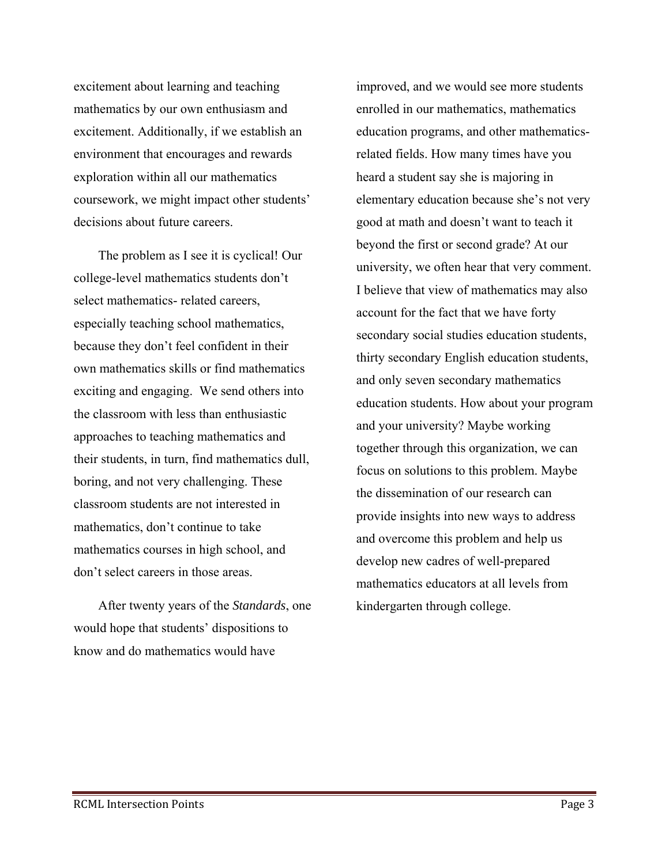excitement about learning and teaching mathematics by our own enthusiasm and excitement. Additionally, if we establish an environment that encourages and rewards exploration within all our mathematics coursework, we might impact other students' decisions about future careers.

The problem as I see it is cyclical! Our college-level mathematics students don't select mathematics- related careers, especially teaching school mathematics, because they don't feel confident in their own mathematics skills or find mathematics exciting and engaging. We send others into the classroom with less than enthusiastic approaches to teaching mathematics and their students, in turn, find mathematics dull, boring, and not very challenging. These classroom students are not interested in mathematics, don't continue to take mathematics courses in high school, and don't select careers in those areas.

After twenty years of the *Standards*, one would hope that students' dispositions to know and do mathematics would have

improved, and we would see more students enrolled in our mathematics, mathematics education programs, and other mathematicsrelated fields. How many times have you heard a student say she is majoring in elementary education because she's not very good at math and doesn't want to teach it beyond the first or second grade? At our university, we often hear that very comment. I believe that view of mathematics may also account for the fact that we have forty secondary social studies education students, thirty secondary English education students, and only seven secondary mathematics education students. How about your program and your university? Maybe working together through this organization, we can focus on solutions to this problem. Maybe the dissemination of our research can provide insights into new ways to address and overcome this problem and help us develop new cadres of well-prepared mathematics educators at all levels from kindergarten through college.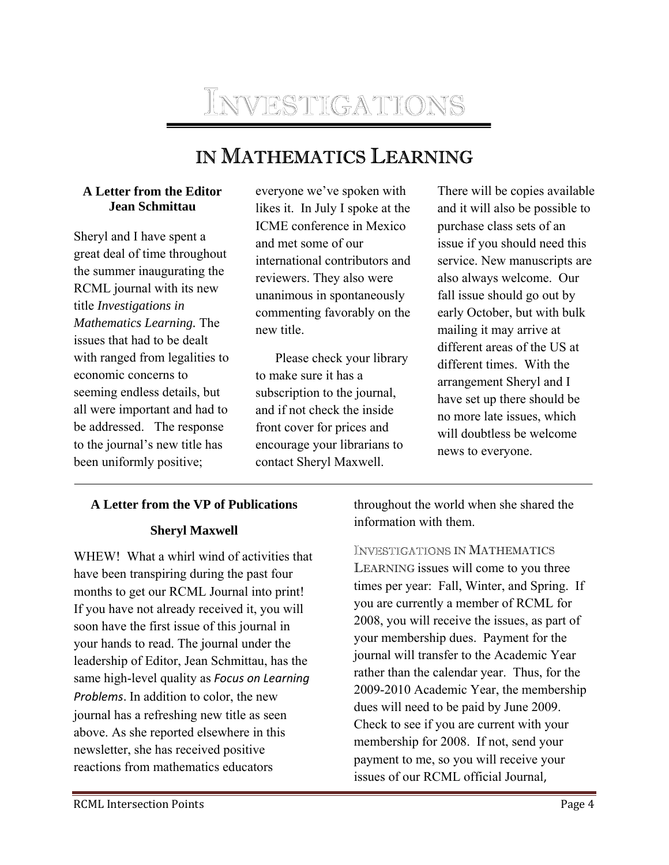## INVESTIGATIONS

## IN MATHEMATICS LEARNING

#### **A Letter from the Editor Jean Schmittau**

Sheryl and I have spent a great deal of time throughout the summer inaugurating the RCML journal with its new title *Investigations in Mathematics Learning.* The issues that had to be dealt with ranged from legalities to economic concerns to seeming endless details, but all were important and had to be addressed. The response to the journal's new title has been uniformly positive;

everyone we've spoken with likes it. In July I spoke at the ICME conference in Mexico and met some of our international contributors and reviewers. They also were unanimous in spontaneously commenting favorably on the new title.

Please check your library to make sure it has a subscription to the journal, and if not check the inside front cover for prices and encourage your librarians to contact Sheryl Maxwell.

There will be copies available and it will also be possible to purchase class sets of an issue if you should need this service. New manuscripts are also always welcome. Our fall issue should go out by early October, but with bulk mailing it may arrive at different areas of the US at different times. With the arrangement Sheryl and I have set up there should be no more late issues, which will doubtless be welcome news to everyone.

#### **A Letter from the VP of Publications**

#### **Sheryl Maxwell**

WHEW! What a whirl wind of activities that have been transpiring during the past four months to get our RCML Journal into print! If you have not already received it, you will soon have the first issue of this journal in your hands to read. The journal under the leadership of Editor, Jean Schmittau, has the same high-level quality as *Focus on Learning Problems*. In addition to color, the new journal has a refreshing new title as seen above. As she reported elsewhere in this newsletter, she has received positive reactions from mathematics educators

throughout the world when she shared the information with them.

INVESTIGATIONS IN MATHEMATICS LEARNING issues will come to you three times per year: Fall, Winter, and Spring. If you are currently a member of RCML for 2008, you will receive the issues, as part of your membership dues. Payment for the journal will transfer to the Academic Year rather than the calendar year. Thus, for the 2009-2010 Academic Year, the membership dues will need to be paid by June 2009. Check to see if you are current with your membership for 2008. If not, send your payment to me, so you will receive your issues of our RCML official Journal,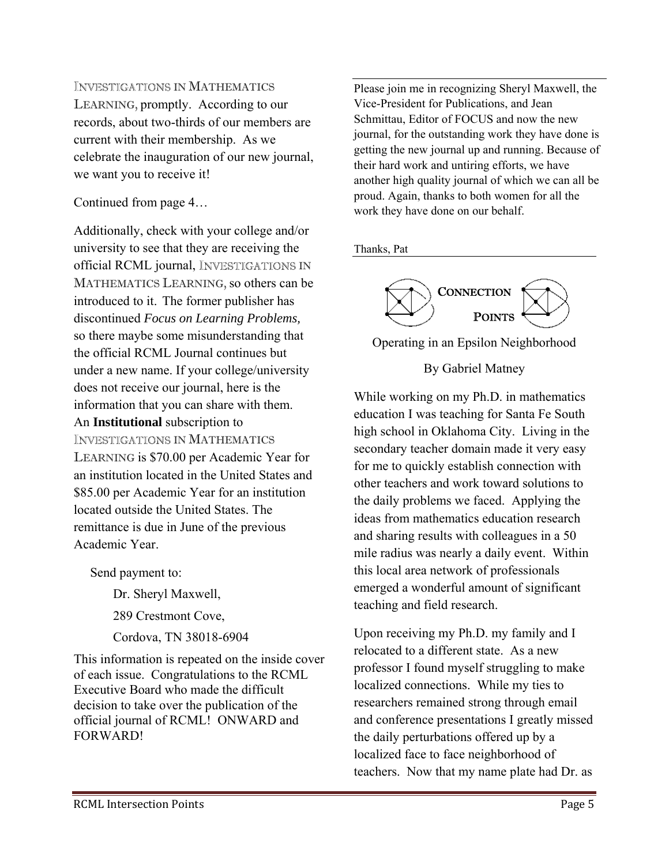#### **INVESTIGATIONS IN MATHEMATICS**

LEARNING, promptly. According to our records, about two-thirds of our members are current with their membership. As we celebrate the inauguration of our new journal, we want you to receive it!

#### Continued from page 4…

Additionally, check with your college and/or university to see that they are receiving the official RCML journal, INVESTIGATIONS IN MATHEMATICS LEARNING, so others can be introduced to it. The former publisher has discontinued *Focus on Learning Problems,*  so there maybe some misunderstanding that the official RCML Journal continues but under a new name. If your college/university does not receive our journal, here is the information that you can share with them. An **Institutional** subscription to **INVESTIGATIONS IN MATHEMATICS** LEARNING is \$70.00 per Academic Year for an institution located in the United States and \$85.00 per Academic Year for an institution located outside the United States. The remittance is due in June of the previous

Send payment to:

Academic Year.

 Dr. Sheryl Maxwell, 289 Crestmont Cove, Cordova, TN 38018-6904

This information is repeated on the inside cover of each issue. Congratulations to the RCML Executive Board who made the difficult decision to take over the publication of the official journal of RCML! ONWARD and FORWARD!

Please join me in recognizing Sheryl Maxwell, the Vice-President for Publications, and Jean Schmittau, Editor of FOCUS and now the new journal, for the outstanding work they have done is getting the new journal up and running. Because of their hard work and untiring efforts, we have another high quality journal of which we can all be proud. Again, thanks to both women for all the work they have done on our behalf.

#### Thanks, Pat



#### Operating in an Epsilon Neighborhood

#### By Gabriel Matney

While working on my Ph.D. in mathematics education I was teaching for Santa Fe South high school in Oklahoma City. Living in the secondary teacher domain made it very easy for me to quickly establish connection with other teachers and work toward solutions to the daily problems we faced. Applying the ideas from mathematics education research and sharing results with colleagues in a 50 mile radius was nearly a daily event. Within this local area network of professionals emerged a wonderful amount of significant teaching and field research.

Upon receiving my Ph.D. my family and I relocated to a different state. As a new professor I found myself struggling to make localized connections. While my ties to researchers remained strong through email and conference presentations I greatly missed the daily perturbations offered up by a localized face to face neighborhood of teachers. Now that my name plate had Dr. as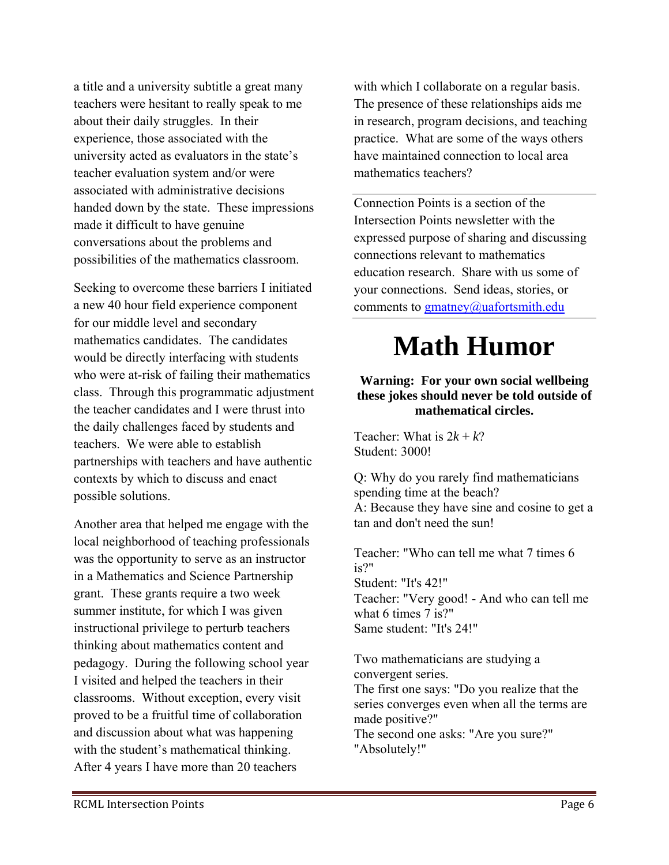a title and a university subtitle a great many teachers were hesitant to really speak to me about their daily struggles. In their experience, those associated with the university acted as evaluators in the state's teacher evaluation system and/or were associated with administrative decisions handed down by the state. These impressions made it difficult to have genuine conversations about the problems and possibilities of the mathematics classroom.

Seeking to overcome these barriers I initiated a new 40 hour field experience component for our middle level and secondary mathematics candidates. The candidates would be directly interfacing with students who were at-risk of failing their mathematics class. Through this programmatic adjustment the teacher candidates and I were thrust into the daily challenges faced by students and teachers. We were able to establish partnerships with teachers and have authentic contexts by which to discuss and enact possible solutions.

Another area that helped me engage with the local neighborhood of teaching professionals was the opportunity to serve as an instructor in a Mathematics and Science Partnership grant. These grants require a two week summer institute, for which I was given instructional privilege to perturb teachers thinking about mathematics content and pedagogy. During the following school year I visited and helped the teachers in their classrooms. Without exception, every visit proved to be a fruitful time of collaboration and discussion about what was happening with the student's mathematical thinking. After 4 years I have more than 20 teachers

with which I collaborate on a regular basis. The presence of these relationships aids me in research, program decisions, and teaching practice. What are some of the ways others have maintained connection to local area mathematics teachers?

Connection Points is a section of the Intersection Points newsletter with the expressed purpose of sharing and discussing connections relevant to mathematics education research. Share with us some of your connections. Send ideas, stories, or comments to gmatney@uafortsmith.edu

## **Math Humor**

#### **Warning: For your own social wellbeing these jokes should never be told outside of mathematical circles.**

Teacher: What is  $2k + k$ ? Student: 3000!

Q: Why do you rarely find mathematicians spending time at the beach? A: Because they have sine and cosine to get a tan and don't need the sun!

Teacher: "Who can tell me what 7 times 6 is?" Student: "It's 42!" Teacher: "Very good! - And who can tell me what 6 times 7 is?" Same student: "It's 24!"

Two mathematicians are studying a convergent series. The first one says: "Do you realize that the series converges even when all the terms are made positive?" The second one asks: "Are you sure?" "Absolutely!"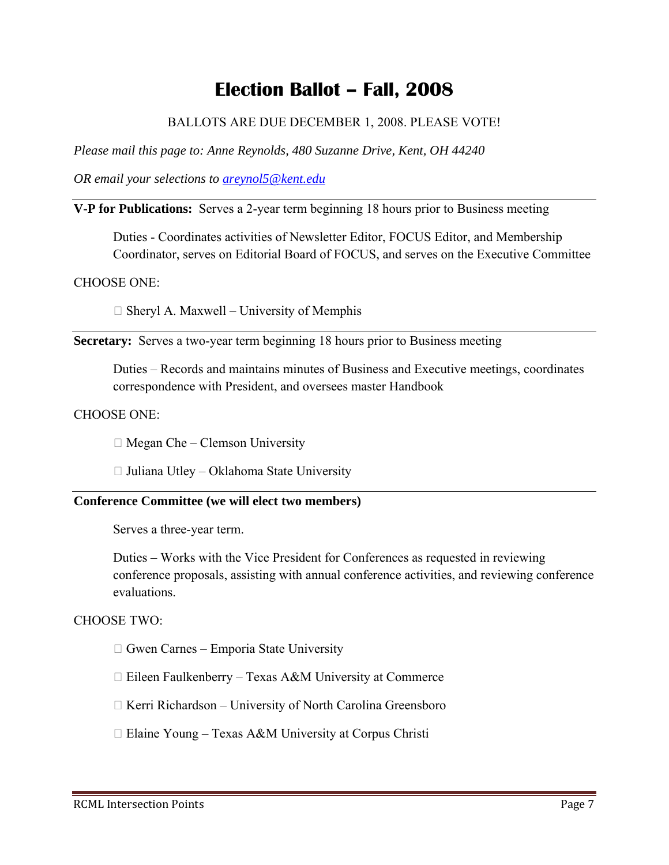## **Election Ballot – Fall, 2008**

#### BALLOTS ARE DUE DECEMBER 1, 2008. PLEASE VOTE!

*Please mail this page to: Anne Reynolds, 480 Suzanne Drive, Kent, OH 44240* 

*OR email your selections to areynol5@kent.edu*

#### **V-P for Publications:** Serves a 2-year term beginning 18 hours prior to Business meeting

Duties - Coordinates activities of Newsletter Editor, FOCUS Editor, and Membership Coordinator, serves on Editorial Board of FOCUS, and serves on the Executive Committee

#### CHOOSE ONE:

 $\Box$  Sheryl A. Maxwell – University of Memphis

**Secretary:** Serves a two-year term beginning 18 hours prior to Business meeting

Duties – Records and maintains minutes of Business and Executive meetings, coordinates correspondence with President, and oversees master Handbook

#### CHOOSE ONE:

 $\Box$  Megan Che – Clemson University

 $\Box$  Juliana Utley – Oklahoma State University

#### **Conference Committee (we will elect two members)**

Serves a three-year term.

Duties – Works with the Vice President for Conferences as requested in reviewing conference proposals, assisting with annual conference activities, and reviewing conference evaluations.

#### CHOOSE TWO:

 $\Box$  Gwen Carnes – Emporia State University

- $\Box$  Eileen Faulkenberry Texas A&M University at Commerce
- $\Box$  Kerri Richardson University of North Carolina Greensboro
- $\Box$  Elaine Young Texas A&M University at Corpus Christi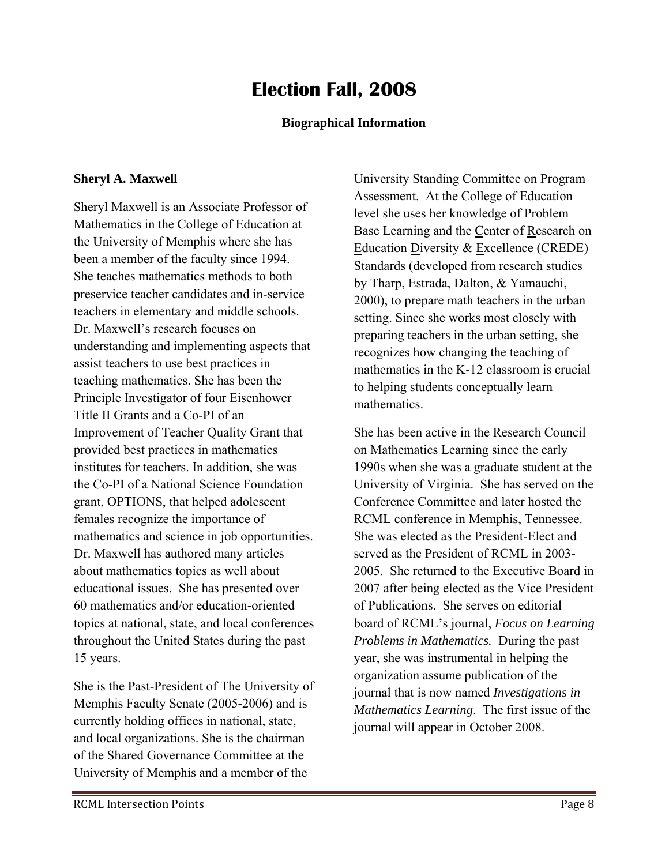## **Election Fall, 2008**

#### **Biographical Information**

#### **Sheryl A. Maxwell**

Sheryl Maxwell is an Associate Professor of Mathematics in the College of Education at the University of Memphis where she has been a member of the faculty since 1994. She teaches mathematics methods to both preservice teacher candidates and in-service teachers in elementary and middle schools. Dr. Maxwell's research focuses on understanding and implementing aspects that assist teachers to use best practices in teaching mathematics. She has been the Principle Investigator of four Eisenhower Title II Grants and a Co-PI of an Improvement of Teacher Quality Grant that provided best practices in mathematics institutes for teachers. In addition, she was the Co-PI of a National Science Foundation grant, OPTIONS, that helped adolescent females recognize the importance of mathematics and science in job opportunities. Dr. Maxwell has authored many articles about mathematics topics as well about educational issues. She has presented over 60 mathematics and/or education-oriented topics at national, state, and local conferences throughout the United States during the past 15 years.

She is the Past-President of The University of Memphis Faculty Senate (2005-2006) and is currently holding offices in national, state, and local organizations. She is the chairman of the Shared Governance Committee at the University of Memphis and a member of the

University Standing Committee on Program Assessment. At the College of Education level she uses her knowledge of Problem Base Learning and the Center of Research on Education Diversity & Excellence (CREDE) Standards (developed from research studies by Tharp, Estrada, Dalton, & Yamauchi, 2000), to prepare math teachers in the urban setting. Since she works most closely with preparing teachers in the urban setting, she recognizes how changing the teaching of mathematics in the K-12 classroom is crucial to helping students conceptually learn mathematics.

She has been active in the Research Council on Mathematics Learning since the early 1990s when she was a graduate student at the University of Virginia. She has served on the Conference Committee and later hosted the RCML conference in Memphis, Tennessee. She was elected as the President-Elect and served as the President of RCML in 2003- 2005. She returned to the Executive Board in 2007 after being elected as the Vice President of Publications. She serves on editorial board of RCML's journal, *Focus on Learning Problems in Mathematics.* During the past year, she was instrumental in helping the organization assume publication of the journal that is now named *Investigations in Mathematics Learning*. The first issue of the journal will appear in October 2008.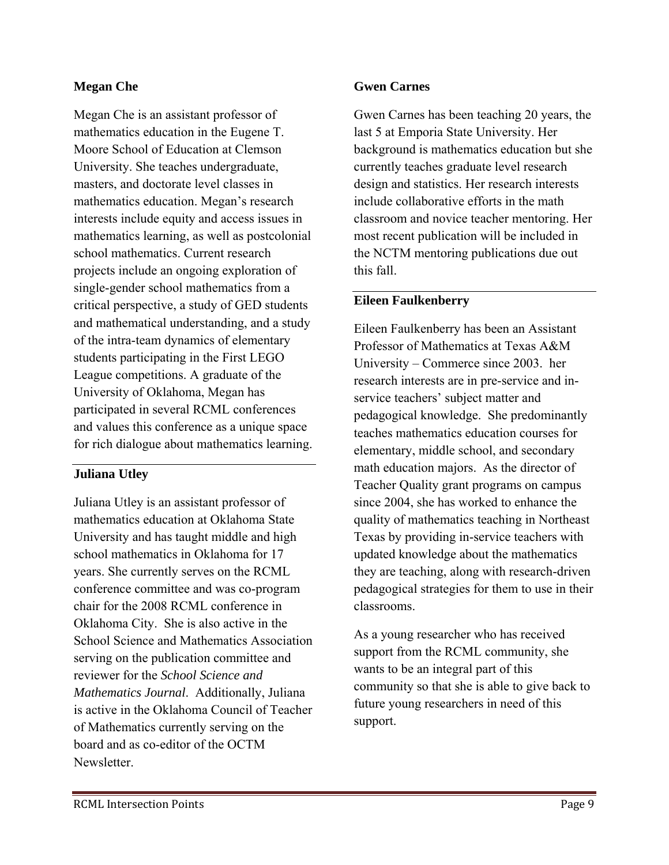#### **Megan Che**

Megan Che is an assistant professor of mathematics education in the Eugene T. Moore School of Education at Clemson University. She teaches undergraduate, masters, and doctorate level classes in mathematics education. Megan's research interests include equity and access issues in mathematics learning, as well as postcolonial school mathematics. Current research projects include an ongoing exploration of single-gender school mathematics from a critical perspective, a study of GED students and mathematical understanding, and a study of the intra-team dynamics of elementary students participating in the First LEGO League competitions. A graduate of the University of Oklahoma, Megan has participated in several RCML conferences and values this conference as a unique space for rich dialogue about mathematics learning.

#### **Juliana Utley**

Juliana Utley is an assistant professor of mathematics education at Oklahoma State University and has taught middle and high school mathematics in Oklahoma for 17 years. She currently serves on the RCML conference committee and was co-program chair for the 2008 RCML conference in Oklahoma City. She is also active in the School Science and Mathematics Association serving on the publication committee and reviewer for the *School Science and Mathematics Journal*. Additionally, Juliana is active in the Oklahoma Council of Teacher of Mathematics currently serving on the board and as co-editor of the OCTM Newsletter.

#### **Gwen Carnes**

Gwen Carnes has been teaching 20 years, the last 5 at Emporia State University. Her background is mathematics education but she currently teaches graduate level research design and statistics. Her research interests include collaborative efforts in the math classroom and novice teacher mentoring. Her most recent publication will be included in the NCTM mentoring publications due out this fall.

#### **Eileen Faulkenberry**

Eileen Faulkenberry has been an Assistant Professor of Mathematics at Texas A&M University – Commerce since 2003. her research interests are in pre-service and inservice teachers' subject matter and pedagogical knowledge. She predominantly teaches mathematics education courses for elementary, middle school, and secondary math education majors. As the director of Teacher Quality grant programs on campus since 2004, she has worked to enhance the quality of mathematics teaching in Northeast Texas by providing in-service teachers with updated knowledge about the mathematics they are teaching, along with research-driven pedagogical strategies for them to use in their classrooms.

As a young researcher who has received support from the RCML community, she wants to be an integral part of this community so that she is able to give back to future young researchers in need of this support.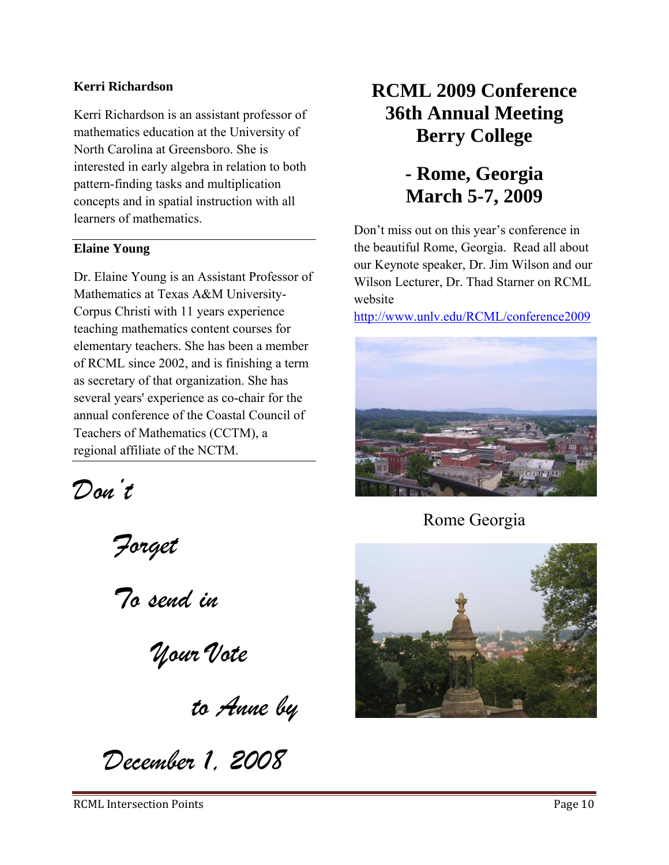#### **Kerri Richardson**

Kerri Richardson is an assistant professor of mathematics education at the University of North Carolina at Greensboro. She is interested in early algebra in relation to both pattern-finding tasks and multiplication concepts and in spatial instruction with all learners of mathematics.

#### **Elaine Young**

Dr. Elaine Young is an Assistant Professor of Mathematics at Texas A&M University-Corpus Christi with 11 years experience teaching mathematics content courses for elementary teachers. She has been a member of RCML since 2002, and is finishing a term as secretary of that organization. She has several years' experience as co-chair for the annual conference of the Coastal Council of Teachers of Mathematics (CCTM), a regional affiliate of the NCTM.

*Don't* 

 *Forget* 

 *To send in* 

 *Your Vote* 

*to Anne by* 

*December 1, 2008*

## **RCML 2009 Conference 36th Annual Meeting Berry College**

### **- Rome, Georgia March 5-7, 2009**

Don't miss out on this year's conference in the beautiful Rome, Georgia. Read all about our Keynote speaker, Dr. Jim Wilson and our Wilson Lecturer, Dr. Thad Starner on RCML website

http://www.unlv.edu/RCML/conference2009



Rome Georgia